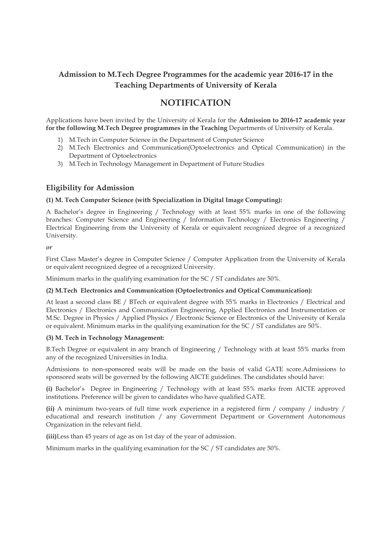# Admission to M.Tech Degree Programmes for the academic year 2016-17 in the Teaching Departments of University of Kerala

# NOTIFICATION

Applications have been invited by the University of Kerala for the Admission to 2016-17 academic year for the following M.Tech Degree programmes in the Teaching Departments of University of Kerala.

- 1) M.Tech in Computer Science in the Department of Computer Science
- 2) M.Tech Electronics and Communication(Optoelectronics and Optical Communication) in the Department of Optoelectronics
- 3) M.Tech in Technology Management in Department of Future Studies

## Eligibility for Admission

## (1) M. Tech Computer Science (with Specialization in Digital Image Computing):

A Bachelor's degree in Engineering / Technology with at least 55% marks in one of the following branches: Computer Science and Engineering / Information Technology / Electronics Engineering / Electrical Engineering from the University of Kerala or equivalent recognized degree of a recognized University.

or

First Class Master's degree in Computer Science / Computer Application from the University of Kerala or equivalent recognized degree of a recognized University.

Minimum marks in the qualifying examination for the SC / ST candidates are 50%.

### (2) M.Tech Electronics and Communication (Optoelectronics and Optical Communication):

At least a second class BE / BTech or equivalent degree with 55% marks in Electronics / Electrical and Electronics / Electronics and Communication Engineering, Applied Electronics and Instrumentation or M.Sc. Degree in Physics / Applied Physics / Electronic Science or Electronics of the University of Kerala or equivalent. Minimum marks in the qualifying examination for the SC / ST candidates are 50%.

### (3) M. Tech in Technology Management:

B.Tech Degree or equivalent in any branch of Engineering / Technology with at least 55% marks from any of the recognized Universities in India.

Admissions to non-sponsored seats will be made on the basis of valid GATE score.Admissions to sponsored seats will be governed by the following AICTE guidelines. The candidates should have:

(i) Bachelor's Degree in Engineering / Technology with at least 55% marks from AICTE approved institutions. Preference will be given to candidates who have qualified GATE.

(ii) A minimum two-years of full time work experience in a registered firm / company / industry / educational and research institution / any Government Department or Government Autonomous Organization in the relevant field.

(iii)Less than 45 years of age as on 1st day of the year of admission.

Minimum marks in the qualifying examination for the SC / ST candidates are 50%.